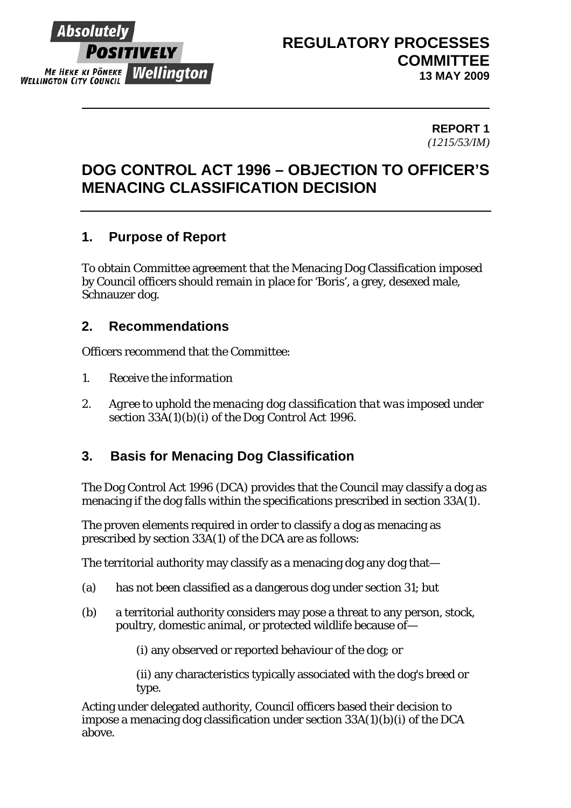

#### **REPORT 1**  *(1215/53/IM)*

# **DOG CONTROL ACT 1996 – OBJECTION TO OFFICER'S MENACING CLASSIFICATION DECISION**

### **1. Purpose of Report**

To obtain Committee agreement that the Menacing Dog Classification imposed by Council officers should remain in place for 'Boris', a grey, desexed male, Schnauzer dog.

### **2. Recommendations**

Officers recommend that the Committee:

- *1. Receive the information*
- *2. Agree to uphold the menacing dog classification that was imposed under section 33A(1)(b)(i) of the Dog Control Act 1996.*

### **3. Basis for Menacing Dog Classification**

The Dog Control Act 1996 (DCA) provides that the Council may classify a dog as menacing if the dog falls within the specifications prescribed in section 33A(1).

The proven elements required in order to classify a dog as menacing as prescribed by section 33A(1) of the DCA are as follows:

The territorial authority may classify as a menacing dog any dog that—

- (a) has not been classified as a dangerous dog under section 31; but
- (b) a territorial authority considers may pose a threat to any person, stock, poultry, domestic animal, or protected wildlife because of—

(i) any observed or reported behaviour of the dog; or

(ii) any characteristics typically associated with the dog's breed or type.

Acting under delegated authority, Council officers based their decision to impose a menacing dog classification under section 33A(1)(b)(i) of the DCA above.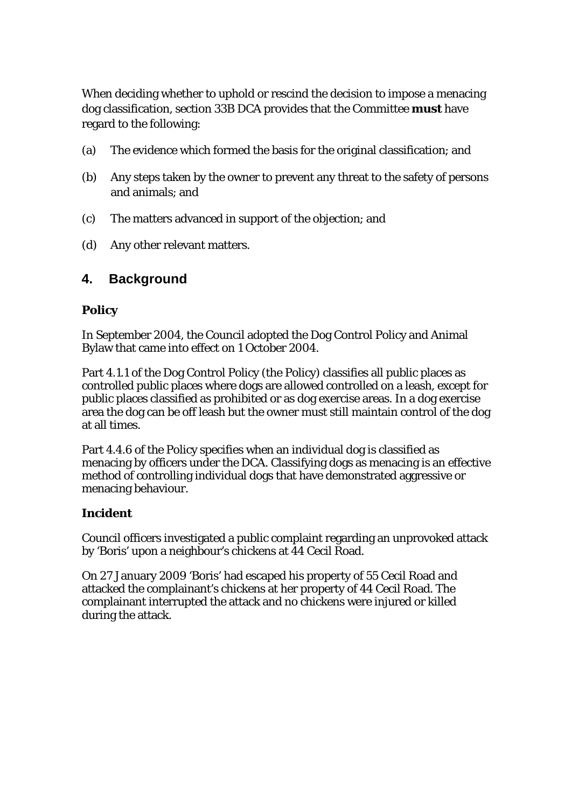When deciding whether to uphold or rescind the decision to impose a menacing dog classification, section 33B DCA provides that the Committee **must** have regard to the following:

- (a) The evidence which formed the basis for the original classification; and
- (b) Any steps taken by the owner to prevent any threat to the safety of persons and animals; and
- (c) The matters advanced in support of the objection; and
- (d) Any other relevant matters.

### **4. Background**

#### **Policy**

In September 2004, the Council adopted the Dog Control Policy and Animal Bylaw that came into effect on 1 October 2004.

Part 4.1.1 of the Dog Control Policy (the Policy) classifies all public places as controlled public places where dogs are allowed controlled on a leash, except for public places classified as prohibited or as dog exercise areas. In a dog exercise area the dog can be off leash but the owner must still maintain control of the dog at all times.

Part 4.4.6 of the Policy specifies when an individual dog is classified as menacing by officers under the DCA. Classifying dogs as menacing is an effective method of controlling individual dogs that have demonstrated aggressive or menacing behaviour.

#### **Incident**

Council officers investigated a public complaint regarding an unprovoked attack by 'Boris' upon a neighbour's chickens at 44 Cecil Road.

On 27 January 2009 'Boris' had escaped his property of 55 Cecil Road and attacked the complainant's chickens at her property of 44 Cecil Road. The complainant interrupted the attack and no chickens were injured or killed during the attack.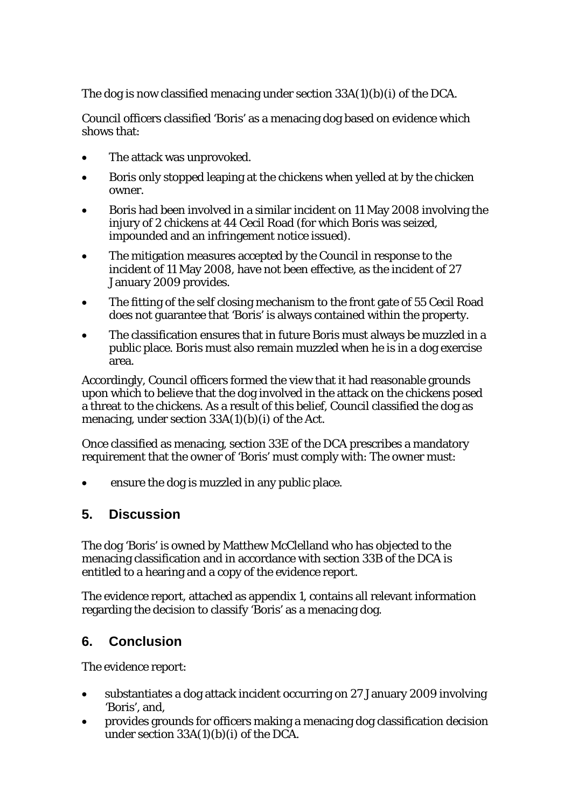The dog is now classified menacing under section 33A(1)(b)(i) of the DCA.

Council officers classified 'Boris' as a menacing dog based on evidence which shows that:

- The attack was unprovoked.
- Boris only stopped leaping at the chickens when yelled at by the chicken owner.
- Boris had been involved in a similar incident on 11 May 2008 involving the injury of 2 chickens at 44 Cecil Road (for which Boris was seized, impounded and an infringement notice issued).
- The mitigation measures accepted by the Council in response to the incident of 11 May 2008, have not been effective, as the incident of 27 January 2009 provides.
- The fitting of the self closing mechanism to the front gate of 55 Cecil Road does not guarantee that 'Boris' is always contained within the property.
- The classification ensures that in future Boris must always be muzzled in a public place. Boris must also remain muzzled when he is in a dog exercise area.

Accordingly, Council officers formed the view that it had reasonable grounds upon which to believe that the dog involved in the attack on the chickens posed a threat to the chickens. As a result of this belief, Council classified the dog as menacing, under section 33A(1)(b)(i) of the Act.

Once classified as menacing, section 33E of the DCA prescribes a mandatory requirement that the owner of 'Boris' must comply with: The owner must:

ensure the dog is muzzled in any public place.

### **5. Discussion**

The dog 'Boris' is owned by Matthew McClelland who has objected to the menacing classification and in accordance with section 33B of the DCA is entitled to a hearing and a copy of the evidence report.

The evidence report, attached as appendix 1, contains all relevant information regarding the decision to classify 'Boris' as a menacing dog.

### **6. Conclusion**

The evidence report:

- substantiates a dog attack incident occurring on 27 January 2009 involving 'Boris', and,
- provides grounds for officers making a menacing dog classification decision under section  $33A(1)(b)(i)$  of the DCA.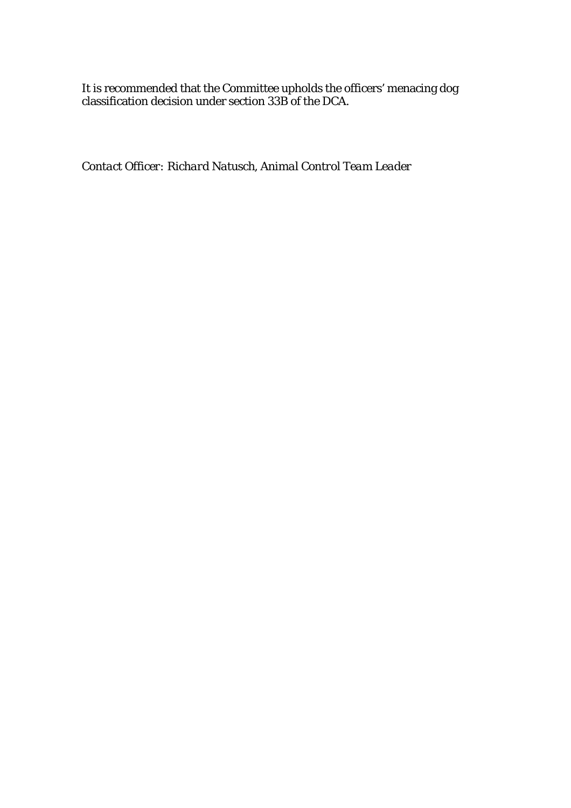It is recommended that the Committee upholds the officers' menacing dog classification decision under section 33B of the DCA.

*Contact Officer: Richard Natusch, Animal Control Team Leader*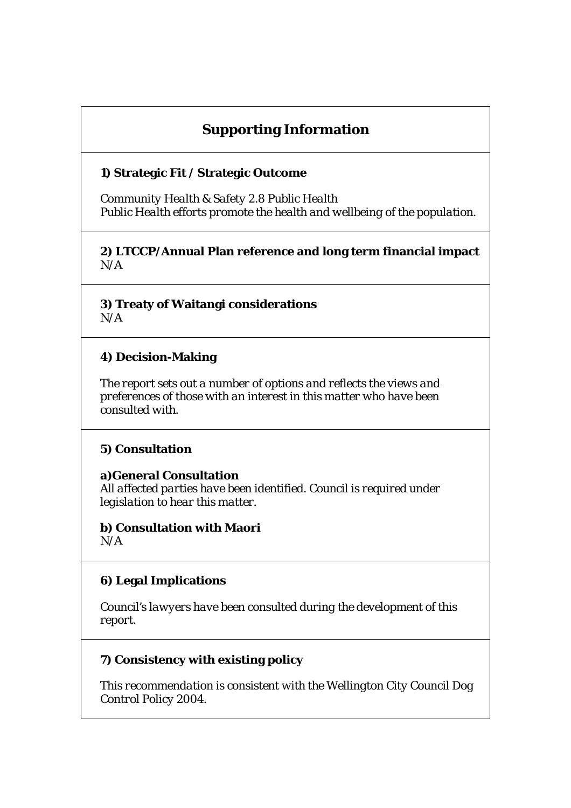## **Supporting Information**

#### **1) Strategic Fit / Strategic Outcome**

*Community Health & Safety 2.8 Public Health Public Health efforts promote the health and wellbeing of the population.* 

**2) LTCCP/Annual Plan reference and long term financial impact**  *N/A* 

**3) Treaty of Waitangi considerations**  *N/A* 

#### **4) Decision-Making**

*The report sets out a number of options and reflects the views and preferences of those with an interest in this matter who have been consulted with.* 

#### **5) Consultation**

**a)General Consultation**  *All affected parties have been identified. Council is required under legislation to hear this matter.* 

**b) Consultation with Maori**  *N/A* 

### **6) Legal Implications**

*Council's lawyers have been consulted during the development of this report.* 

### **7) Consistency with existing policy**

*This recommendation is consistent with the Wellington City Council Dog Control Policy 2004.*